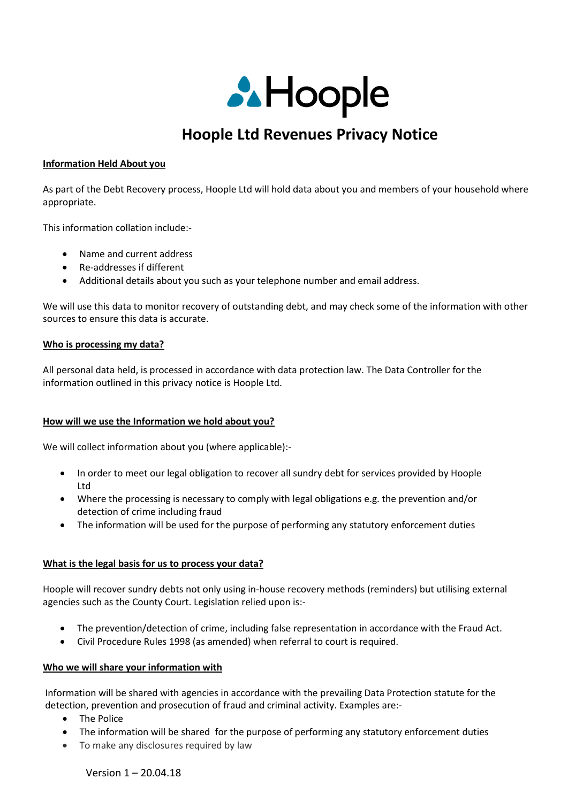

# **Hoople Ltd Revenues Privacy Notice**

#### **Information Held About you**

As part of the Debt Recovery process, Hoople Ltd will hold data about you and members of your household where appropriate.

This information collation include:-

- Name and current address
- Re-addresses if different
- Additional details about you such as your telephone number and email address.

We will use this data to monitor recovery of outstanding debt, and may check some of the information with other sources to ensure this data is accurate.

#### **Who is processing my data?**

All personal data held, is processed in accordance with data protection law. The Data Controller for the information outlined in this privacy notice is Hoople Ltd.

## **How will we use the Information we hold about you?**

We will collect information about you (where applicable):-

- In order to meet our legal obligation to recover all sundry debt for services provided by Hoople Ltd
- Where the processing is necessary to comply with legal obligations e.g. the prevention and/or detection of crime including fraud
- The information will be used for the purpose of performing any statutory enforcement duties

## **What is the legal basis for us to process your data?**

Hoople will recover sundry debts not only using in-house recovery methods (reminders) but utilising external agencies such as the County Court. Legislation relied upon is:-

- The prevention/detection of crime, including false representation in accordance with the Fraud Act.
- Civil Procedure Rules 1998 (as amended) when referral to court is required.

#### **Who we will share your information with**

Information will be shared with agencies in accordance with the prevailing Data Protection statute for the detection, prevention and prosecution of fraud and criminal activity. Examples are:-

- The Police
- The information will be shared for the purpose of performing any statutory enforcement duties
- To make any disclosures required by law

Version 1 – 20.04.18